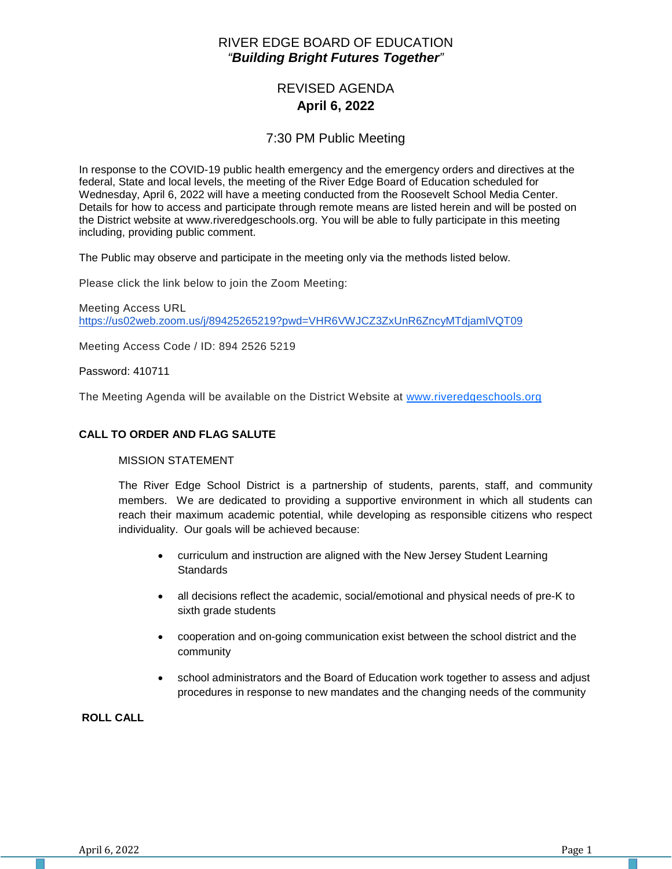## RIVER EDGE BOARD OF EDUCATION *"Building Bright Futures Together"*

# REVISED AGENDA **April 6, 2022**

## 7:30 PM Public Meeting

In response to the COVID-19 public health emergency and the emergency orders and directives at the federal, State and local levels, the meeting of the River Edge Board of Education scheduled for Wednesday, April 6, 2022 will have a meeting conducted from the Roosevelt School Media Center. Details for how to access and participate through remote means are listed herein and will be posted on the District website at www.riveredgeschools.org. You will be able to fully participate in this meeting including, providing public comment.

The Public may observe and participate in the meeting only via the methods listed below.

Please click the link below to join the Zoom Meeting:

Meeting Access URL <https://us02web.zoom.us/j/89425265219?pwd=VHR6VWJCZ3ZxUnR6ZncyMTdjamlVQT09>

Meeting Access Code / ID: 894 2526 5219

Password: 410711

The Meeting Agenda will be available on the District Website at www[.riveredgeschools.org](http://riveredgeschools.org/)

#### **CALL TO ORDER AND FLAG SALUTE**

#### MISSION STATEMENT

The River Edge School District is a partnership of students, parents, staff, and community members. We are dedicated to providing a supportive environment in which all students can reach their maximum academic potential, while developing as responsible citizens who respect individuality. Our goals will be achieved because:

- curriculum and instruction are aligned with the New Jersey Student Learning **Standards**
- all decisions reflect the academic, social/emotional and physical needs of pre-K to sixth grade students
- cooperation and on-going communication exist between the school district and the community
- school administrators and the Board of Education work together to assess and adjust procedures in response to new mandates and the changing needs of the community

**ROLL CALL**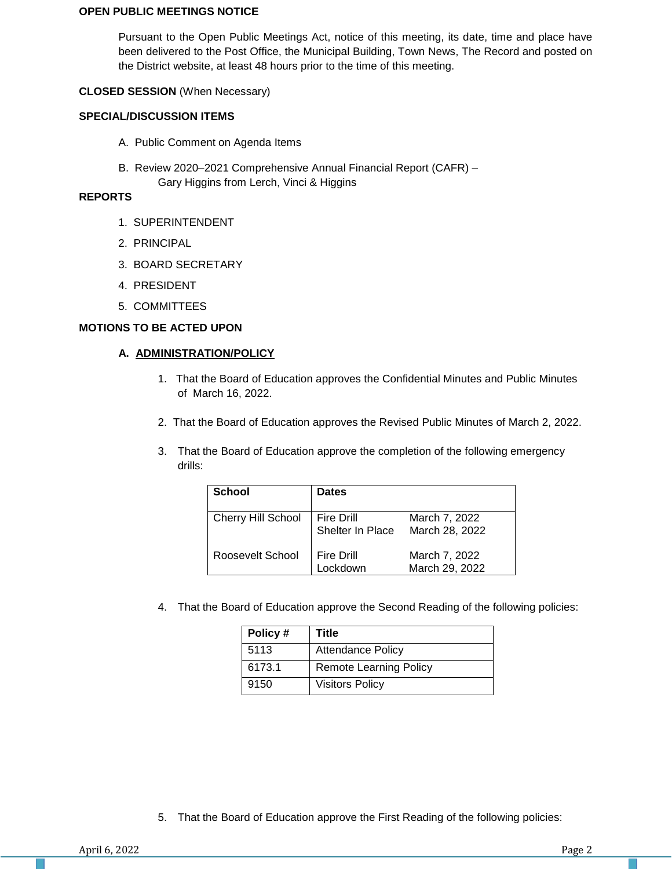#### **OPEN PUBLIC MEETINGS NOTICE**

Pursuant to the Open Public Meetings Act, notice of this meeting, its date, time and place have been delivered to the Post Office, the Municipal Building, Town News, The Record and posted on the District website, at least 48 hours prior to the time of this meeting.

### **CLOSED SESSION** (When Necessary)

### **SPECIAL/DISCUSSION ITEMS**

- A. Public Comment on Agenda Items
- B. Review 2020–2021 Comprehensive Annual Financial Report (CAFR) Gary Higgins from Lerch, Vinci & Higgins

#### **REPORTS**

- 1. SUPERINTENDENT
- 2. PRINCIPAL
- 3. BOARD SECRETARY
- 4. PRESIDENT
- 5. COMMITTEES

### **MOTIONS TO BE ACTED UPON**

## **A. ADMINISTRATION/POLICY**

- 1. That the Board of Education approves the Confidential Minutes and Public Minutes of March 16, 2022.
- 2. That the Board of Education approves the Revised Public Minutes of March 2, 2022.
- 3. That the Board of Education approve the completion of the following emergency drills:

| <b>School</b>      | <b>Dates</b>                   |                                 |
|--------------------|--------------------------------|---------------------------------|
| Cherry Hill School | Fire Drill<br>Shelter In Place | March 7, 2022<br>March 28, 2022 |
| Roosevelt School   | <b>Fire Drill</b><br>_ockdown  | March 7, 2022<br>March 29, 2022 |

4. That the Board of Education approve the Second Reading of the following policies:

| Policy# | Title                         |
|---------|-------------------------------|
| 5113    | <b>Attendance Policy</b>      |
| 6173.1  | <b>Remote Learning Policy</b> |
| 9150    | <b>Visitors Policy</b>        |

5. That the Board of Education approve the First Reading of the following policies: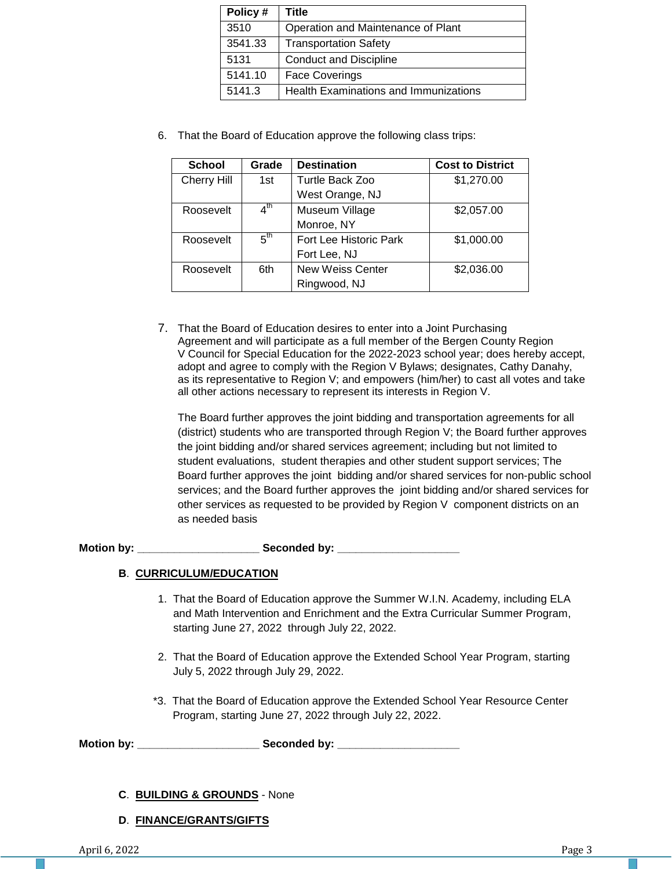| Policy# | Title                                        |
|---------|----------------------------------------------|
| 3510    | Operation and Maintenance of Plant           |
| 3541.33 | <b>Transportation Safety</b>                 |
| 5131    | <b>Conduct and Discipline</b>                |
| 5141.10 | <b>Face Coverings</b>                        |
| 5141.3  | <b>Health Examinations and Immunizations</b> |

6. That the Board of Education approve the following class trips:

| <b>School</b>      | Grade           | <b>Destination</b>      | <b>Cost to District</b> |
|--------------------|-----------------|-------------------------|-------------------------|
| <b>Cherry Hill</b> | 1st             | Turtle Back Zoo         | \$1,270.00              |
|                    |                 | West Orange, NJ         |                         |
| Roosevelt          | $4^{\text{th}}$ | Museum Village          | \$2,057.00              |
|                    |                 | Monroe, NY              |                         |
| Roosevelt          | 5 <sup>th</sup> | Fort Lee Historic Park  | \$1,000.00              |
|                    |                 | Fort Lee, NJ            |                         |
| Roosevelt          | 6th             | <b>New Weiss Center</b> | \$2,036.00              |
|                    |                 | Ringwood, NJ            |                         |

7. That the Board of Education desires to enter into a Joint Purchasing Agreement and will participate as a full member of the Bergen County Region V Council for Special Education for the 2022-2023 school year; does hereby accept, adopt and agree to comply with the Region V Bylaws; designates, Cathy Danahy, as its representative to Region V; and empowers (him/her) to cast all votes and take all other actions necessary to represent its interests in Region V.

The Board further approves the joint bidding and transportation agreements for all (district) students who are transported through Region V; the Board further approves the joint bidding and/or shared services agreement; including but not limited to student evaluations, student therapies and other student support services; The Board further approves the joint bidding and/or shared services for non-public school services; and the Board further approves the joint bidding and/or shared services for other services as requested to be provided by Region V component districts on an as needed basis

**Motion by: \_\_\_\_\_\_\_\_\_\_\_\_\_\_\_\_\_\_\_\_ Seconded by: \_\_\_\_\_\_\_\_\_\_\_\_\_\_\_\_\_\_\_\_**

## **B**. **CURRICULUM/EDUCATION**

- 1. That the Board of Education approve the Summer W.I.N. Academy, including ELA and Math Intervention and Enrichment and the Extra Curricular Summer Program, starting June 27, 2022 through July 22, 2022.
- 2. That the Board of Education approve the Extended School Year Program, starting July 5, 2022 through July 29, 2022.
- \*3. That the Board of Education approve the Extended School Year Resource Center Program, starting June 27, 2022 through July 22, 2022.

Motion by: **Example 20 Seconded by:** Seconded by:

- **C**. **BUILDING & GROUNDS** None
- **D**. **FINANCE/GRANTS/GIFTS**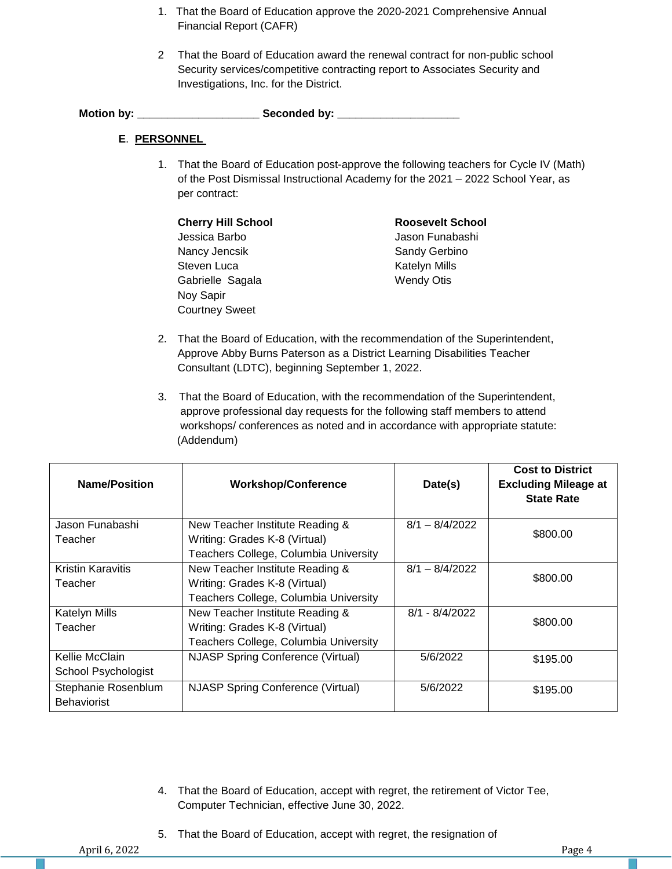- 1. That the Board of Education approve the 2020-2021 Comprehensive Annual Financial Report (CAFR)
- 2 That the Board of Education award the renewal contract for non-public school Security services/competitive contracting report to Associates Security and Investigations, Inc. for the District.

**Motion by: \_\_\_\_\_\_\_\_\_\_\_\_\_\_\_\_\_\_\_\_ Seconded by: \_\_\_\_\_\_\_\_\_\_\_\_\_\_\_\_\_\_\_\_**

## **E**. **PERSONNEL**

1. That the Board of Education post-approve the following teachers for Cycle IV (Math) of the Post Dismissal Instructional Academy for the 2021 – 2022 School Year, as per contract:

| <b>Cherry Hill School</b> | <b>Roosevelt School</b> |
|---------------------------|-------------------------|
| Jessica Barbo             | Jason Funabashi         |
| Nancy Jencsik             | Sandy Gerbino           |
| Steven Luca               | <b>Katelyn Mills</b>    |
| Gabrielle Sagala          | <b>Wendy Otis</b>       |
| Noy Sapir                 |                         |
| <b>Courtney Sweet</b>     |                         |

- 2. That the Board of Education, with the recommendation of the Superintendent, Approve Abby Burns Paterson as a District Learning Disabilities Teacher Consultant (LDTC), beginning September 1, 2022.
- 3. That the Board of Education, with the recommendation of the Superintendent, approve professional day requests for the following staff members to attend workshops/ conferences as noted and in accordance with appropriate statute: (Addendum)

| <b>Name/Position</b><br><b>Workshop/Conference</b> |                                          | Date(s)          | <b>Cost to District</b><br><b>Excluding Mileage at</b><br><b>State Rate</b> |  |
|----------------------------------------------------|------------------------------------------|------------------|-----------------------------------------------------------------------------|--|
| Jason Funabashi                                    | New Teacher Institute Reading &          | $8/1 - 8/4/2022$ |                                                                             |  |
| Teacher                                            | Writing: Grades K-8 (Virtual)            |                  | \$800.00                                                                    |  |
|                                                    | Teachers College, Columbia University    |                  |                                                                             |  |
| <b>Kristin Karavitis</b>                           | New Teacher Institute Reading &          | $8/1 - 8/4/2022$ |                                                                             |  |
| Teacher                                            | Writing: Grades K-8 (Virtual)            |                  | \$800.00                                                                    |  |
|                                                    | Teachers College, Columbia University    |                  |                                                                             |  |
| <b>Katelyn Mills</b>                               | New Teacher Institute Reading &          | $8/1 - 8/4/2022$ |                                                                             |  |
| Teacher                                            | Writing: Grades K-8 (Virtual)            |                  | \$800.00                                                                    |  |
|                                                    | Teachers College, Columbia University    |                  |                                                                             |  |
| Kellie McClain                                     | <b>NJASP Spring Conference (Virtual)</b> | 5/6/2022         | \$195.00                                                                    |  |
| School Psychologist                                |                                          |                  |                                                                             |  |
| Stephanie Rosenblum<br><b>Behaviorist</b>          | <b>NJASP Spring Conference (Virtual)</b> | 5/6/2022         | \$195.00                                                                    |  |

- 4. That the Board of Education, accept with regret, the retirement of Victor Tee, Computer Technician, effective June 30, 2022.
- 5. That the Board of Education, accept with regret, the resignation of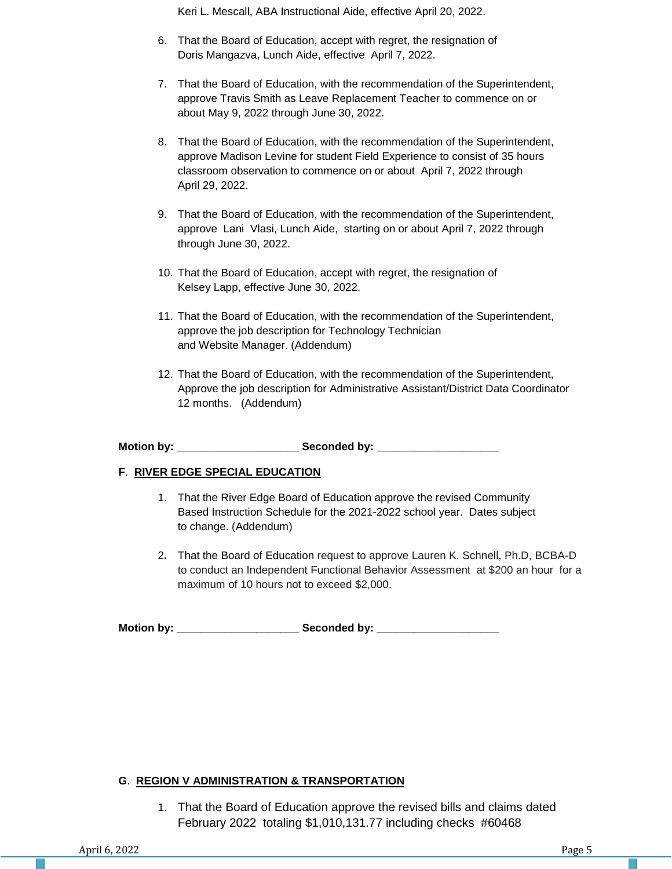Keri L. Mescall, ABA Instructional Aide, effective April 20, 2022.

- 6. That the Board of Education, accept with regret, the resignation of Doris Mangazva, Lunch Aide, effective April 7, 2022.
- 7. That the Board of Education, with the recommendation of the Superintendent, approve Travis Smith as Leave Replacement Teacher to commence on or about May 9, 2022 through June 30, 2022.
- 8. That the Board of Education, with the recommendation of the Superintendent, approve Madison Levine for student Field Experience to consist of 35 hours classroom observation to commence on or about April 7, 2022 through April 29, 2022.
- 9. That the Board of Education, with the recommendation of the Superintendent, approve Lani Vlasi, Lunch Aide, starting on or about April 7, 2022 through through June 30, 2022.
- 10. That the Board of Education, accept with regret, the resignation of Kelsey Lapp, effective June 30, 2022.
- 11. That the Board of Education, with the recommendation of the Superintendent, approve the job description for Technology Technician and Website Manager. (Addendum)
- 12. That the Board of Education, with the recommendation of the Superintendent, Approve the job description for Administrative Assistant/District Data Coordinator 12 months. (Addendum)

**Motion by: \_\_\_\_\_\_\_\_\_\_\_\_\_\_\_\_\_\_\_\_ Seconded by: \_\_\_\_\_\_\_\_\_\_\_\_\_\_\_\_\_\_\_\_**

## **F**. **RIVER EDGE SPECIAL EDUCATION**

- 1. That the River Edge Board of Education approve the revised Community Based Instruction Schedule for the 2021-2022 school year. Dates subject to change. (Addendum)
- 2**.** That the Board of Education request to approve Lauren K. Schnell, Ph.D, BCBA-D to conduct an Independent Functional Behavior Assessment at \$200 an hour for a maximum of 10 hours not to exceed \$2,000.

**Motion by: \_\_\_\_\_\_\_\_\_\_\_\_\_\_\_\_\_\_\_\_ Seconded by: \_\_\_\_\_\_\_\_\_\_\_\_\_\_\_\_\_\_\_\_**

## **G**. **REGION V ADMINISTRATION & TRANSPORTATION**

1. That the Board of Education approve the revised bills and claims dated February 2022 totaling \$1,010,131.77 including checks #60468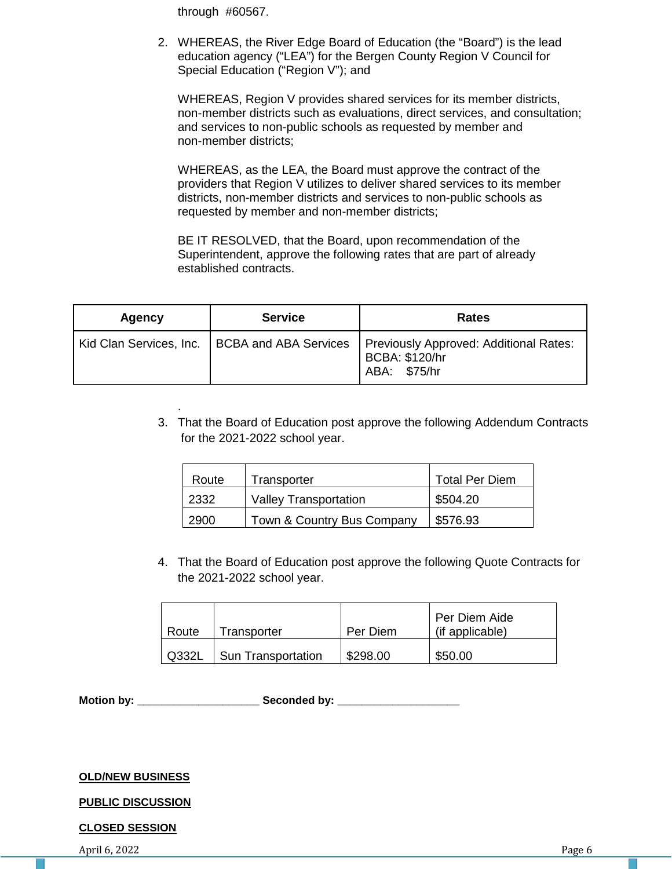through #60567.

2. WHEREAS, the River Edge Board of Education (the "Board") is the lead education agency ("LEA") for the Bergen County Region V Council for Special Education ("Region V"); and

WHEREAS, Region V provides shared services for its member districts, non-member districts such as evaluations, direct services, and consultation; and services to non-public schools as requested by member and non-member districts;

WHEREAS, as the LEA, the Board must approve the contract of the providers that Region V utilizes to deliver shared services to its member districts, non-member districts and services to non-public schools as requested by member and non-member districts;

BE IT RESOLVED, that the Board, upon recommendation of the Superintendent, approve the following rates that are part of already established contracts.

| Agency                  | <b>Service</b> | <b>Rates</b>                                                                                     |
|-------------------------|----------------|--------------------------------------------------------------------------------------------------|
| Kid Clan Services, Inc. |                | BCBA and ABA Services   Previously Approved: Additional Rates:<br>BCBA: \$120/hr<br>ABA: \$75/hr |

3. That the Board of Education post approve the following Addendum Contracts for the 2021-2022 school year.

| Route | Transporter                  | <b>Total Per Diem</b> |
|-------|------------------------------|-----------------------|
| 2332  | <b>Valley Transportation</b> | \$504.20              |
| 2900  | Town & Country Bus Company   | \$576.93              |

4. That the Board of Education post approve the following Quote Contracts for the 2021-2022 school year.

| Route | Transporter               | Per Diem | Per Diem Aide<br>(if applicable) |
|-------|---------------------------|----------|----------------------------------|
| Q332L | <b>Sun Transportation</b> | \$298.00 | \$50.00                          |

**Motion by: \_\_\_\_\_\_\_\_\_\_\_\_\_\_\_\_\_\_\_\_ Seconded by: \_\_\_\_\_\_\_\_\_\_\_\_\_\_\_\_\_\_\_\_**

### **OLD/NEW BUSINESS**

.

## **PUBLIC DISCUSSION**

## **CLOSED SESSION**

April 6, 2022 **Page 6**